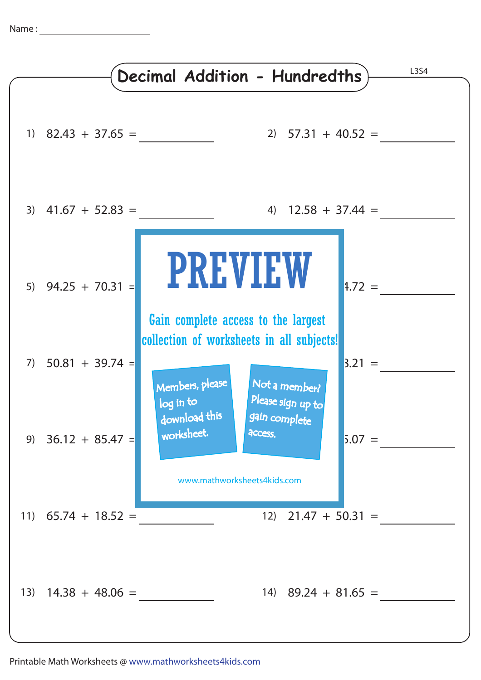